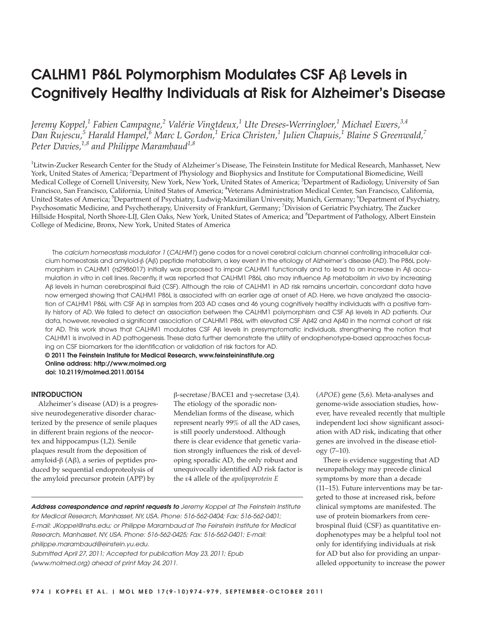# **CALHM1 P86L Polymorphism Modulates CSF A**β **Levels in Cognitively Healthy Individuals at Risk for Alzheimer's Disease**

*Jeremy Koppel,<sup>1</sup> Fabien Campagne,<sup>2</sup> Valérie Vingtdeux,<sup>1</sup> Ute Dreses-Werringloer,<sup>1</sup> Michael Ewers,3,4 Dan Rujescu,<sup>5</sup> Harald Hampel,6 Marc L Gordon,<sup>1</sup> Erica Christen,<sup>1</sup> Julien Chapuis,<sup>1</sup> Blaine S Greenwald,<sup>7</sup> Peter Davies,1,8 and Philippe Marambaud1,8*

1 Litwin-Zucker Research Center for the Study of Alzheimer's Disease, The Feinstein Institute for Medical Research, Manhasset, New York, United States of America; <sup>2</sup>Department of Physiology and Biophysics and Institute for Computational Biomedicine, Weill Medical College of Cornell University, New York, New York, United States of America; <sup>3</sup>Department of Radiology, University of San Francisco, San Francisco, California, United States of America; <sup>4</sup>Veterans Administration Medical Center, San Francisco, California, United States of America; <sup>5</sup>Department of Psychiatry, Ludwig-Maximilian University, Munich, Germany; <sup>6</sup>Department of Psychiatry, Psychosomatic Medicine, and Psychotherapy, University of Frankfurt, Germany; <sup>7</sup>Division of Geriatric Psychiatry, The Zucker Hillside Hospital, North Shore-LIJ, Glen Oaks, New York, United States of America; and <sup>8</sup>Department of Pathology, Albert Einstein College of Medicine, Bronx, New York, United States of America

The calcium homeostasis modulator 1 (CALHM1) gene codes for a novel cerebral calcium channel controlling intracellular calcium homeostasis and amyloid-β (Aβ) peptide metabolism, a key event in the etiology of Alzheimer's disease (AD). The P86L polymorphism in CALHM1 (rs2986017) initially was proposed to impair CALHM1 functionally and to lead to an increase in Aβ accumulation in vitro in cell lines. Recently, it was reported that CALHM1 P86L also may influence Aβ metabolism in vivo by increasing Aβ levels in human cerebrospinal fluid (CSF). Although the role of CALHM1 in AD risk remains uncertain, concordant data have now emerged showing that CALHM1 P86L is associated with an earlier age at onset of AD. Here, we have analyzed the association of CALHM1 P86L with CSF Aβ in samples from 203 AD cases and 46 young cognitively healthy individuals with a positive family history of AD. We failed to detect an association between the CALHM1 polymorphism and CSF Aβ levels in AD patients. Our data, however, revealed a significant association of CALHM1 P86L with elevated CSF Aβ42 and Aβ40 in the normal cohort at risk for AD. This work shows that CALHM1 modulates CSF Aβ levels in presymptomatic individuals, strengthening the notion that CALHM1 is involved in AD pathogenesis. These data further demonstrate the utility of endophenotype-based approaches focusing on CSF biomarkers for the identification or validation of risk factors for AD.

**© 2011 The Feinstein Institute for Medical Research, www.feinsteininstitute.org Online address: http://www.molmed.org doi: 10.2119/molmed.2011.00154**

#### **INTRODUCTION**

Alzheimer's disease (AD) is a progressive neurodegenerative disorder characterized by the presence of senile plaques in different brain regions of the neocortex and hippocampus (1,2). Senile plaques result from the deposition of amyloid-β (Aβ), a series of peptides produced by sequential endoproteolysis of the amyloid precursor protein (APP) by

β-secretase/BACE1 and γ-secretase (3,4). The etiology of the sporadic non-Mendelian forms of the disease, which represent nearly 99% of all the AD cases, is still poorly understood. Although there is clear evidence that genetic variation strongly influences the risk of developing sporadic AD, the only robust and unequivocally identified AD risk factor is the ε4 allele of the *apolipoprotein E*

**Address correspondence and reprint requests to** Jeremy Koppel at The Feinstein Institute for Medical Research, Manhasset, NY, USA. Phone: 516-562-0404; Fax: 516-562-0401; E-mail: JKoppel@nshs.edu; or Philippe Marambaud at The Feinstein Institute for Medical Research, Manhasset, NY, USA. Phone: 516-562-0425; Fax: 516-562-0401; E-mail: philippe.marambaud@einstein.yu.edu.

Submitted April 27, 2011; Accepted for publication May 23, 2011; Epub (www.molmed.org) ahead of print May 24, 2011.

(*APOE*) gene (5,6). Meta-analyses and genome-wide association studies, however, have revealed recently that multiple independent loci show significant association with AD risk, indicating that other genes are involved in the disease etiology (7–10).

There is evidence suggesting that AD neuropathology may precede clinical symptoms by more than a decade (11–15). Future interventions may be targeted to those at increased risk, before clinical symptoms are manifested. The use of protein biomarkers from cerebrospinal fluid (CSF) as quantitative endophenotypes may be a helpful tool not only for identifying individuals at risk for AD but also for providing an unparalleled opportunity to increase the power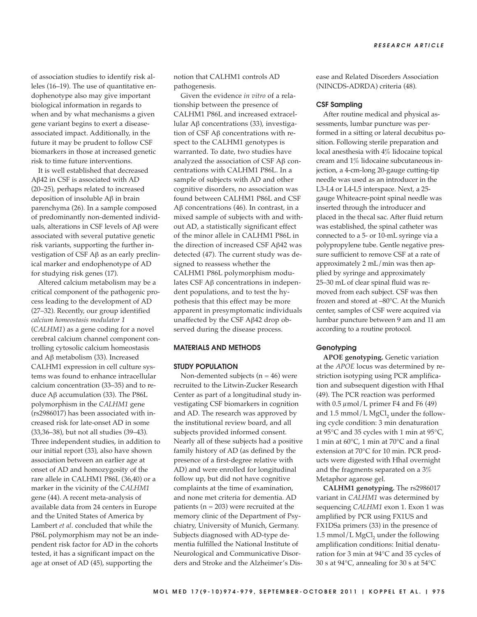of association studies to identify risk alleles (16–19). The use of quantitative endophenotype also may give important biological information in regards to when and by what mechanisms a given gene variant begins to exert a disease associated impact. Additionally, in the future it may be prudent to follow CSF biomarkers in those at increased genetic risk to time future interventions.

It is well established that decreased Aβ42 in CSF is associated with AD (20–25), perhaps related to increased deposition of insoluble Aβ in brain parenchyma (26). In a sample composed of predominantly non-demented individuals, alterations in CSF levels of Aβ were associated with several putative genetic risk variants, supporting the further investigation of CSF Aβ as an early preclinical marker and endophenotype of AD for studying risk genes (17).

Altered calcium metabolism may be a critical component of the pathogenic process leading to the development of AD (27–32). Recently, our group identified *calcium homeostasis modulator 1* (*CALHM1*) as a gene coding for a novel cerebral calcium channel component controlling cytosolic calcium homeostasis and Aβ metabolism (33). Increased CALHM1 expression in cell culture systems was found to enhance intracellular calcium concentration (33–35) and to reduce  $Aβ$  accumulation (33). The P86L polymorphism in the *CALHM1* gene (rs2986017) has been associated with increased risk for late-onset AD in some (33,36–38), but not all studies (39–43). Three independent studies, in addition to our initial report (33), also have shown association between an earlier age at onset of AD and homozygosity of the rare allele in CALHM1 P86L (36,40) or a marker in the vicinity of the *CALHM1* gene (44). A recent meta-analysis of available data from 24 centers in Europe and the United States of America by Lambert *et al*. concluded that while the P86L polymorphism may not be an independent risk factor for AD in the cohorts tested, it has a significant impact on the age at onset of AD (45), supporting the

notion that CALHM1 controls AD pathogenesis.

Given the evidence *in vitro* of a relationship between the presence of CALHM1 P86L and increased extracellular Aβ concentrations (33), investigation of CSF Aβ concentrations with respect to the CALHM1 genotypes is warranted. To date, two studies have analyzed the association of CSF Aβ concentrations with CALHM1 P86L. In a sample of subjects with AD and other cognitive disorders, no association was found between CALHM1 P86L and CSF Aβ concentrations (46). In contrast, in a mixed sample of subjects with and without AD, a statistically significant effect of the minor allele in CALHM1 P86L in the direction of increased CSF Aβ42 was detected (47). The current study was designed to reassess whether the CALHM1 P86L polymorphism modulates CSF Aβ concentrations in independent populations, and to test the hypothesis that this effect may be more apparent in presymptomatic individuals unaffected by the CSF Aβ42 drop observed during the disease process.

## **MATERIALS AND METHODS**

#### **STUDY POPULATION**

Non-demented subjects  $(n = 46)$  were recruited to the Litwin-Zucker Research Center as part of a longitudinal study investigating CSF biomarkers in cognition and AD. The research was approved by the institutional review board, and all subjects provided informed consent. Nearly all of these subjects had a positive family history of AD (as defined by the presence of a first-degree relative with AD) and were enrolled for longitudinal follow up, but did not have cognitive complaints at the time of examination, and none met criteria for dementia. AD patients ( $n = 203$ ) were recruited at the memory clinic of the Department of Psychiatry, University of Munich, Germany. Subjects diagnosed with AD-type dementia fulfilled the National Institute of Neurological and Communicative Disorders and Stroke and the Alzheimer's Disease and Related Disorders Association (NINCDS-ADRDA) criteria (48).

#### **CSF Sampling**

After routine medical and physical assessments, lumbar puncture was performed in a sitting or lateral decubitus position. Following sterile preparation and local anesthesia with 4% lidocaine topical cream and 1% lidocaine subcutaneous injection, a 4-cm-long 20-gauge cutting-tip needle was used as an introducer in the L3-L4 or L4-L5 interspace. Next, a 25 gauge Whiteacre-point spinal needle was inserted through the introducer and placed in the thecal sac. After fluid return was established, the spinal catheter was connected to a 5- or 10-mL syringe via a polypropylene tube. Gentle negative pressure sufficient to remove CSF at a rate of approximately 2 mL/min was then applied by syringe and approximately 25–30 mL of clear spinal fluid was removed from each subject. CSF was then frozen and stored at –80°C. At the Munich center, samples of CSF were acquired via lumbar puncture between 9 am and 11 am according to a routine protocol.

## **Genotyping**

**APOE genotyping.** Genetic variation at the *APOE* locus was determined by restriction isotyping using PCR amplification and subsequent digestion with HhaI (49). The PCR reaction was performed with  $0.5 \mu$ mol/L primer F4 and F6 (49) and  $1.5$  mmol/L MgCl, under the following cycle condition: 3 min denaturation at 95°C and 35 cycles with 1 min at 95°C, 1 min at 60°C, 1 min at 70°C and a final extension at 70°C for 10 min. PCR products were digested with HhaI overnight and the fragments separated on a 3% Metaphor agarose gel.

**CALHM1 genotyping.** The rs2986017 variant in *CALHM1* was determined by sequencing *CALHM1* exon 1. Exon 1 was amplified by PCR using FX1US and FX1DSa primers (33) in the presence of  $1.5$  mmol/L MgCl<sub>2</sub> under the following amplification conditions: Initial denaturation for 3 min at 94°C and 35 cycles of 30 s at 94°C, annealing for 30 s at 54°C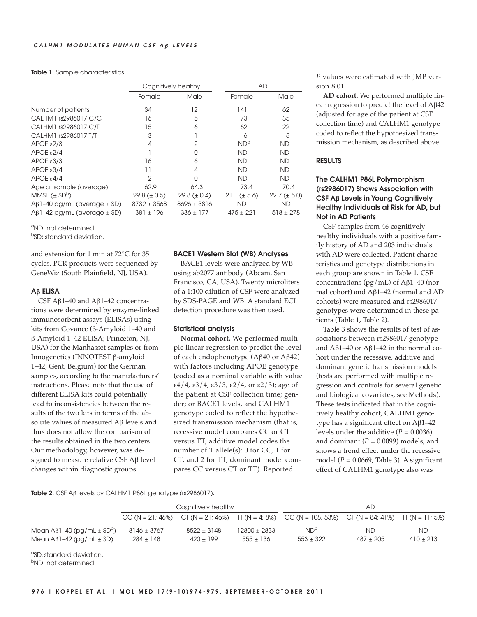**Table 1.** Sample characteristics.

|                                        | Cognitively healthy |                   | AD               |                  |
|----------------------------------------|---------------------|-------------------|------------------|------------------|
|                                        | Female              | Male              | Female           | Male             |
| Number of patients                     | 34                  | 12                | 141              | 62               |
| CALHM1 rs2986017 C/C                   | 16                  | 5                 | 73               | 35               |
| CALHM1 rs2986017 C/T                   | 15                  | 6                 | 62               | 22               |
| CALHM1 rs2986017 T/T                   | 3                   |                   | 6                | 5                |
| APOE $\epsilon$ 2/3                    | 4                   | 2                 | $ND^{\alpha}$    | <b>ND</b>        |
| APOE $\epsilon$ 2/4                    |                     | O                 | <b>ND</b>        | <b>ND</b>        |
| $APOE$ $\varepsilon$ 3/3               | 16                  | 6                 | <b>ND</b>        | <b>ND</b>        |
| APOE E3/4                              | 11                  | 4                 | <b>ND</b>        | <b>ND</b>        |
| APOE $\epsilon$ 4/4                    | 2                   | O                 | <b>ND</b>        | <b>ND</b>        |
| Age at sample (average)                | 62.9                | 64.3              | 73.4             | 70.4             |
| MMSE $(\pm SD^b)$                      | $29.8 (\pm 0.5)$    | 29.8 ( $\pm$ 0.4) | $21.1 (\pm 5.6)$ | $22.7 (\pm 5.0)$ |
| $A\beta$ 1-40 pg/mL (average $\pm$ SD) | $8732 \pm 3568$     | $8696 \pm 3816$   | <b>ND</b>        | ND               |
| $A\beta$ 1-42 pg/mL (average $\pm$ SD) | $381 \pm 196$       | $336 \pm 177$     | $475 \pm 221$    | $518 \pm 278$    |

a ND: not determined.

b SD: standard deviation.

and extension for 1 min at 72°C for 35 cycles. PCR products were sequenced by GeneWiz (South Plainfield, NJ, USA).

#### **A**β **ELISA**

CSF Aβ1–40 and Aβ1–42 concentrations were determined by enzyme-linked immunosorbent assays (ELISAs) using kits from Covance (β-Amyloid 1–40 and β-Amyloid 1–42 ELISA; Princeton, NJ, USA) for the Manhasset samples or from Innogenetics (INNOTEST β-amyloid 1–42; Gent, Belgium) for the German samples, according to the manufacturers' instructions. Please note that the use of different ELISA kits could potentially lead to inconsistencies between the results of the two kits in terms of the absolute values of measured Aβ levels and thus does not allow the comparison of the results obtained in the two centers. Our methodology, however, was designed to measure relative CSF Aβ level changes within diagnostic groups.

#### **BACE1 Western Blot (WB) Analyses**

BACE1 levels were analyzed by WB using ab2077 antibody (Abcam, San Francisco, CA, USA). Twenty microliters of a 1:100 dilution of CSF were analyzed by SDS-PAGE and WB. A standard ECL detection procedure was then used.

## **Statistical analysis**

**Normal cohort.** We performed multiple linear regression to predict the level of each endophenotype (Aβ40 or Aβ42) with factors including APOE genotype (coded as a nominal variable with value ε4/4, ε3/4, ε3/3, ε2/4, or ε2/3); age of the patient at CSF collection time; gender; or BACE1 levels, and CALHM1 genotype coded to reflect the hypothesized transmission mechanism (that is, recessive model compares CC or CT versus TT; additive model codes the number of T allele(s): 0 for CC, 1 for CT, and 2 for TT; dominant model compares CC versus CT or TT). Reported

*P* values were estimated with JMP version 8.01.

**AD cohort.** We performed multiple linear regression to predict the level of Aβ42 (adjusted for age of the patient at CSF collection time) and CALHM1 genotype coded to reflect the hypothesized transmission mechanism, as described above.

### **RESULTS**

# **The CALHM1 P86L Polymorphism (rs2986017) Shows Association with CSF A**β **Levels in Young Cognitively Healthy Individuals at Risk for AD, but Not in AD Patients**

CSF samples from 46 cognitively healthy individuals with a positive family history of AD and 203 individuals with AD were collected. Patient characteristics and genotype distributions in each group are shown in Table 1. CSF concentrations (pg/mL) of Aβ1–40 (normal cohort) and Aβ1–42 (normal and AD cohorts) were measured and rs2986017 genotypes were determined in these patients (Table 1, Table 2).

Table 3 shows the results of test of associations between rs2986017 genotype and Aβ1–40 or Aβ1–42 in the normal cohort under the recessive, additive and dominant genetic transmission models (tests are performed with multiple regression and controls for several genetic and biological covariates, see Methods). These tests indicated that in the cognitively healthy cohort, CALHM1 genotype has a significant effect on Aβ1–42 levels under the additive  $(P = 0.0036)$ and dominant  $(P = 0.0099)$  models, and shows a trend effect under the recessive model  $(P = 0.0669,$  Table 3). A significant effect of CALHM1 genotype also was

#### **Table 2.** CSF Aβ levels by CALHM1 P86L genotype (rs2986017).

|                                                                                            | Cognitively healthy            |                              |                                 | AD                                                                                                        |                    |                    |
|--------------------------------------------------------------------------------------------|--------------------------------|------------------------------|---------------------------------|-----------------------------------------------------------------------------------------------------------|--------------------|--------------------|
|                                                                                            |                                |                              |                                 | CC (N = 21; 46%) CT (N = 21; 46%) $\pi$ (N = 4; 8%) CC (N = 108; 53%) CT (N = 84; 41%) $\pi$ (N = 11; 5%) |                    |                    |
| Mean A $\beta$ 1-40 (pg/mL $\pm$ SD <sup>a</sup> )<br>Mean A $\beta$ 1-42 (pg/mL $\pm$ SD) | $8146 + 3767$<br>$284 \pm 148$ | $8522 + 3148$<br>$420 + 199$ | $12800 \pm 2833$<br>$555 + 136$ | ND <sup>b</sup><br>553 + 322                                                                              | ND.<br>$487 + 205$ | ND.<br>$410 + 213$ |

a SD, standard deviation.

b ND: not determined.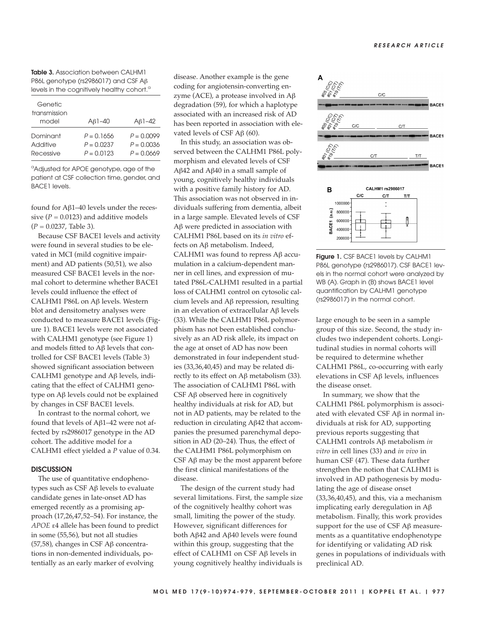**Table 3.** Association between CALHM1 P86L genotype (rs2986017) and CSF Aβ levels in the cognitively healthy cohort.<sup>a</sup>

| Genetic<br>transmission<br>model | $AB1-40$     | $AB1-42$     |
|----------------------------------|--------------|--------------|
| Dominant                         | $P = 0.1656$ | $P = 0.0099$ |
| Additive                         | $P = 0.0237$ | $P = 0.0036$ |
| Recessive                        | $P = 0.0123$ | $P = 0.0669$ |

<sup>a</sup>Adjusted for APOE genotype, age of the patient at CSF collection time, gender, and BACE1 levels.

found for Aβ1–40 levels under the recessive  $(P = 0.0123)$  and additive models (*P* = 0.0237, Table 3).

Because CSF BACE1 levels and activity were found in several studies to be elevated in MCI (mild cognitive impairment) and AD patients (50,51), we also measured CSF BACE1 levels in the normal cohort to determine whether BACE1 levels could influence the effect of CALHM1 P86L on Aβ levels. Western blot and densitometry analyses were conducted to measure BACE1 levels (Figure 1). BACE1 levels were not associated with CALHM1 genotype (see Figure 1) and models fitted to Aβ levels that controlled for CSF BACE1 levels (Table 3) showed significant association between CALHM1 genotype and Aβ levels, indicating that the effect of CALHM1 genotype on Aβ levels could not be explained by changes in CSF BACE1 levels.

In contrast to the normal cohort, we found that levels of Aβ1–42 were not affected by rs2986017 genotype in the AD cohort. The additive model for a CALHM1 effect yielded a *P* value of 0.34.

### **DISCUSSION**

The use of quantitative endophenotypes such as CSF Aβ levels to evaluate candidate genes in late-onset AD has emerged recently as a promising approach (17,26,47,52–54). For instance, the *APOE* ε4 allele has been found to predict in some (55,56), but not all studies (57,58), changes in CSF Aβ concentrations in non-demented individuals, potentially as an early marker of evolving

disease. Another example is the gene coding for angiotensin-converting enzyme (ACE), a protease involved in  $A\beta$ degradation (59), for which a haplotype associated with an increased risk of AD has been reported in association with elevated levels of CSF  $Aβ$  (60).

In this study, an association was observed between the CALHM1 P86L polymorphism and elevated levels of CSF Aβ42 and Aβ40 in a small sample of young, cognitively healthy individuals with a positive family history for AD. This association was not observed in individuals suffering from dementia, albeit in a large sample. Elevated levels of CSF Aβ were predicted in association with CALHM1 P86L based on its *in vitro* effects on Aβ metabolism. Indeed, CALHM1 was found to repress Aβ accumulation in a calcium-dependent manner in cell lines, and expression of mutated P86L-CALHM1 resulted in a partial loss of CALHM1 control on cytosolic calcium levels and Aβ repression, resulting in an elevation of extracellular Aβ levels (33). While the CALHM1 P86L polymorphism has not been established conclusively as an AD risk allele, its impact on the age at onset of AD has now been demonstrated in four independent studies (33,36,40,45) and may be related directly to its effect on Aβ metabolism (33). The association of CALHM1 P86L with CSF Aβ observed here in cognitively healthy individuals at risk for AD, but not in AD patients, may be related to the reduction in circulating Aβ42 that accompanies the presumed parenchymal deposition in AD (20–24). Thus, the effect of the CALHM1 P86L polymorphism on CSF  $\mathbf{A}\mathbf{\beta}$  may be the most apparent before the first clinical manifestations of the disease.

The design of the current study had several limitations. First, the sample size of the cognitively healthy cohort was small, limiting the power of the study. However, significant differences for both Aβ42 and Aβ40 levels were found within this group, suggesting that the effect of CALHM1 on CSF Aβ levels in young cognitively healthy individuals is





**Figure 1.** CSF BACE1 levels by CALHM1 P86L genotype (rs2986017). CSF BACE1 levels in the normal cohort were analyzed by WB (A). Graph in (B) shows BACE1 level quantification by CALHM1 genotype (rs2986017) in the normal cohort.

large enough to be seen in a sample group of this size. Second, the study includes two independent cohorts. Longitudinal studies in normal cohorts will be required to determine whether CALHM1 P86L, co-occurring with early elevations in CSF Aβ levels, influences the disease onset.

In summary, we show that the CALHM1 P86L polymorphism is associated with elevated CSF Aβ in normal individuals at risk for AD, supporting previous reports suggesting that CALHM1 controls Aβ metabolism *in vitro* in cell lines (33) and *in vivo* in human CSF (47). These data further strengthen the notion that CALHM1 is involved in AD pathogenesis by modulating the age of disease onset (33,36,40,45), and this, via a mechanism implicating early deregulation in Aβ metabolism. Finally, this work provides support for the use of CSF Aβ measurements as a quantitative endophenotype for identifying or validating AD risk genes in populations of individuals with preclinical AD.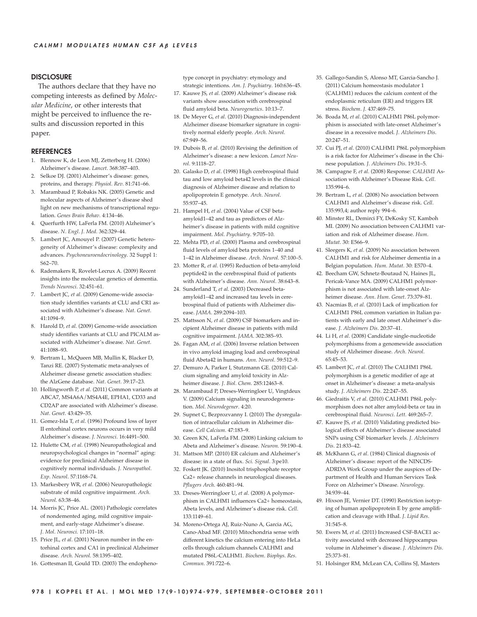## **DISCLOSURE**

The authors declare that they have no competing interests as defined by *Molecular Medicine*, or other interests that might be perceived to influence the results and discussion reported in this paper.

#### **REFERENCES**

- 1. Blennow K, de Leon MJ, Zetterberg H. (2006) Alzheimer's disease. *Lancet*. 368:387–403.
- 2. Selkoe DJ. (2001) Alzheimer's disease: genes, proteins, and therapy. *Physiol*. *Rev*. 81:741–66.
- 3. Marambaud P, Robakis NK. (2005) Genetic and molecular aspects of Alzheimer's disease shed light on new mechanisms of transcriptional regulation. *Genes Brain Behav*. 4:134–46.
- 4. Querfurth HW, LaFerla FM. (2010) Alzheimer's disease. *N*. *Engl*. *J*. *Med*. 362:329–44.
- 5. Lambert JC, Amouyel P. (2007) Genetic heterogeneity of Alzheimer's disease: complexity and advances. *Psychoneuroendocrinology*. 32 Suppl 1: S62–70.
- 6. Rademakers R, Rovelet-Lecrux A. (2009) Recent insights into the molecular genetics of dementia. *Trends Neurosci*. 32:451–61.
- 7. Lambert JC, *et al*. (2009) Genome-wide association study identifies variants at CLU and CR1 associated with Alzheimer's disease. *Nat*. *Genet*. 41:1094–9.
- 8. Harold D, *et al*. (2009) Genome-wide association study identifies variants at CLU and PICALM associated with Alzheimer's disease. *Nat*. *Genet*. 41:1088–93.
- 9. Bertram L, McQueen MB, Mullin K, Blacker D, Tanzi RE. (2007) Systematic meta-analyses of Alzheimer disease genetic association studies: the AlzGene database. *Nat*. *Genet*. 39:17–23.
- 10. Hollingworth P, *et al*. (2011) Common variants at ABCA7, MS4A6A/MS4A4E, EPHA1, CD33 and CD2AP are associated with Alzheimer's disease. *Nat*. *Genet*. 43:429–35.
- 11. Gomez-Isla T, *et al*. (1996) Profound loss of layer II entorhinal cortex neurons occurs in very mild Alzheimer's disease. *J*. *Neurosci*. 16:4491–500.
- 12. Hulette CM, *et al*. (1998) Neuropathological and neuropsychological changes in "normal" aging: evidence for preclinical Alzheimer disease in cognitively normal individuals. *J*. *Neuropathol*. *Exp*. *Neurol*. 57:1168–74.
- 13. Markesbery WR, *et al*. (2006) Neuropathologic substrate of mild cognitive impairment. *Arch*. *Neurol*. 63:38–46.
- 14. Morris JC, Price AL. (2001) Pathologic correlates of nondemented aging, mild cognitive impairment, and early-stage Alzheimer's disease. *J*. *Mol*. *Neurosci*. 17:101–18.
- 15. Price JL, *et al*. (2001) Neuron number in the entorhinal cortex and CA1 in preclinical Alzheimer disease. *Arch*. *Neurol*. 58:1395–402.
- 16. Gottesman II, Gould TD. (2003) The endopheno-

type concept in psychiatry: etymology and strategic intentions. *Am*. *J*. *Psychiatry*. 160:636–45.

- 17. Kauwe JS, *et al*. (2009) Alzheimer's disease risk variants show association with cerebrospinal fluid amyloid beta. *Neurogenetics*. 10:13–7.
- 18. De Meyer G, *et al*. (2010) Diagnosis-independent Alzheimer disease biomarker signature in cognitively normal elderly people. *Arch*. *Neurol*. 67:949–56.
- 19. Dubois B, *et al*. (2010) Revising the definition of Alzheimer's disease: a new lexicon. *Lancet Neurol*. 9:1118–27.
- 20. Galasko D, *et al*. (1998) High cerebrospinal fluid tau and low amyloid beta42 levels in the clinical diagnosis of Alzheimer disease and relation to apolipoprotein E genotype. *Arch*. *Neurol*. 55:937–45.
- 21. Hampel H, *et al*. (2004) Value of CSF beta amyloid1–42 and tau as predictors of Alzheimer's disease in patients with mild cognitive impairment. *Mol*. *Psychiatry*. 9:705–10.
- 22. Mehta PD, *et al*. (2000) Plasma and cerebrospinal fluid levels of amyloid beta proteins 1–40 and 1–42 in Alzheimer disease. *Arch*. *Neurol*. 57:100–5.
- 23. Motter R, *et al*. (1995) Reduction of beta-amyloid peptide42 in the cerebrospinal fluid of patients with Alzheimer's disease. *Ann*. *Neurol*. 38:643–8.
- 24. Sunderland T, *et al*. (2003) Decreased beta amyloid1–42 and increased tau levels in cerebrospinal fluid of patients with Alzheimer disease. *JAMA*. 289:2094–103.
- 25. Mattsson N, *et al*. (2009) CSF biomarkers and incipient Alzheimer disease in patients with mild cognitive impairment. *JAMA*. 302:385–93.
- 26. Fagan AM, *et al*. (2006) Inverse relation between in vivo amyloid imaging load and cerebrospinal fluid Abeta42 in humans. *Ann*. *Neurol*. 59:512–9.
- 27. Demuro A, Parker I, Stutzmann GE. (2010) Calcium signaling and amyloid toxicity in Alzheimer disease. *J*. *Biol*. *Chem*. 285:12463–8.
- 28. Marambaud P, Dreses-Werringloer U, Vingtdeux V. (2009) Calcium signaling in neurodegeneration. *Mol*. *Neurodegener*. 4:20.
- 29. Supnet C, Bezprozvanny I. (2010) The dysregulation of intracellular calcium in Alzheimer disease. *Cell Calcium*. 47:183–9.
- 30. Green KN, LaFerla FM. (2008) Linking calcium to Abeta and Alzheimer's disease. *Neuron*. 59:190–4.
- 31. Mattson MP. (2010) ER calcium and Alzheimer's disease: in a state of flux. *Sci*. *Signal*. 3:pe10.
- 32. Foskett JK. (2010) Inositol trisphosphate receptor Ca2+ release channels in neurological diseases. *Pflugers Arch*. 460:481–94.
- 33. Dreses-Werringloer U, *et al*. (2008) A polymorphism in CALHM1 influences Ca2+ homeostasis, Abeta levels, and Alzheimer's disease risk. *Cell*. 133:1149–61.
- 34. Moreno-Ortega AJ, Ruiz-Nuno A, Garcia AG, Cano-Abad MF. (2010) Mitochondria sense with different kinetics the calcium entering into HeLa cells through calcium channels CALHM1 and mutated P86L-CALHM1. *Biochem*. *Biophys*. *Res*. *Commun*. 391:722–6.
- 35. Gallego-Sandin S, Alonso MT, Garcia-Sancho J. (2011) Calcium homeostasis modulator 1 (CALHM1) reduces the calcium content of the endoplasmic reticulum (ER) and triggers ER stress. *Biochem*. *J*. 437:469–75.
- 36. Boada M, *et al*. (2010) CALHM1 P86L polymorphism is associated with late-onset Alzheimer's disease in a recessive model. *J*. *Alzheimers Dis*. 20:247–51.
- 37. Cui PJ, *et al*. (2010) CALHM1 P86L polymorphism is a risk factor for Alzheimer's disease in the Chinese population. *J*. *Alzheimers Dis*. 19:31–5.
- 38. Campagne F, *et al*. (2008) Response: *CALHM1* Association with Alzheimer's Disease Risk. *Cell*. 135:994–6.
- 39. Bertram L, *et al*. (2008) No association between CALHM1 and Alzheimer's disease risk. *Cell*. 135:993,4; author reply 994–6.
- 40. Minster RL, Demirci FY, DeKosky ST, Kamboh MI. (2009) No association between CALHM1 variation and risk of Alzheimer disease. *Hum*. *Mutat*. 30: E566–9.
- 41. Sleegers K, *et al*. (2009) No association between CALHM1 and risk for Alzheimer dementia in a Belgian population. *Hum*. *Mutat*. 30: E570–4.
- 42. Beecham GW, Schnetz-Boutaud N, Haines JL, Pericak-Vance MA. (2009) CALHM1 polymorphism is not associated with late-onset Alzheimer disease. *Ann*. *Hum*. *Genet*. 73:379–81.
- 43. Nacmias B, *et al*. (2010) Lack of implication for CALHM1 P86L common variation in Italian patients with early and late onset Alzheimer's disease. *J*. *Alzheimers Dis*. 20:37–41.
- 44. Li H, *et al*. (2008) Candidate single-nucleotide polymorphisms from a genomewide association study of Alzheimer disease. *Arch*. *Neurol*. 65:45–53.
- 45. Lambert JC, *et al*. (2010) The CALHM1 P86L polymorphism is a genetic modifier of age at onset in Alzheimer's disease: a meta-analysis study. *J*. *Alzheimers Dis*. 22:247–55.
- 46. Giedraitis V, *et al*. (2010) CALHM1 P86L polymorphism does not alter amyloid-beta or tau in cerebrospinal fluid. *Neurosci*. *Lett*. 469:265–7.
- 47. Kauwe JS, *et al*. (2010) Validating predicted biological effects of Alzheimer's disease associated SNPs using CSF biomarker levels. *J*. *Alzheimers Dis*. 21:833–42.
- 48. McKhann G, *et al*. (1984) Clinical diagnosis of Alzheimer's disease: report of the NINCDS-ADRDA Work Group under the auspices of Department of Health and Human Services Task Force on Alzheimer's Disease. *Neurology*. 34:939–44.
- 49. Hixson JE, Vernier DT. (1990) Restriction isotyping of human apolipoprotein E by gene amplification and cleavage with HhaI. *J*. *Lipid Res*. 31:545–8.
- 50. Ewers M, *et al*. (2011) Increased CSF-BACE1 activity associated with decreased hippocampus volume in Alzheimer's disease. *J*. *Alzheimers Dis*. 25:373–81.
- 51. Holsinger RM, McLean CA, Collins SJ, Masters